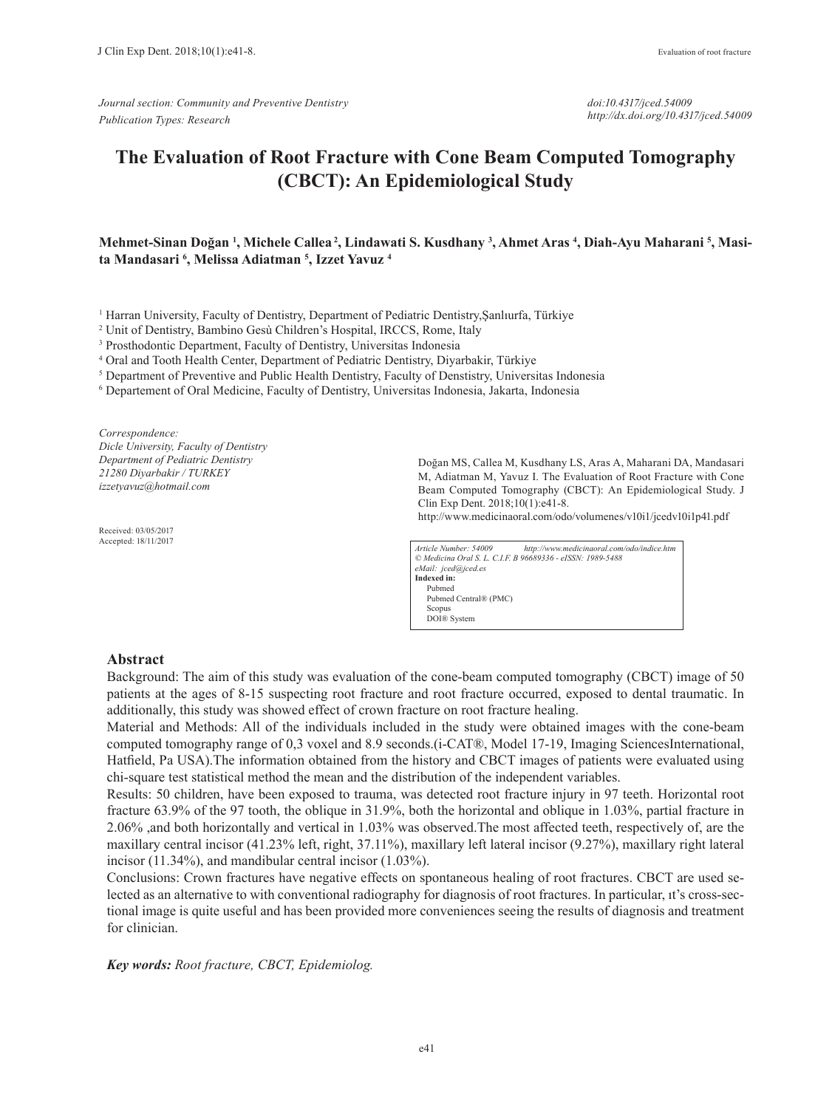*Journal section: Community and Preventive Dentistry Publication Types: Research*

*doi:10.4317/jced.54009 http://dx.doi.org/10.4317/jced.54009*

# **The Evaluation of Root Fracture with Cone Beam Computed Tomography (CBCT): An Epidemiological Study**

## **Mehmet-Sinan Doğan <sup>1</sup> , Michele Callea 2, Lindawati S. Kusdhany 3 , Ahmet Aras 4 , Diah-Ayu Maharani 5 , Masita Mandasari 6 , Melissa Adiatman 5 , Izzet Yavuz 4**

1 Harran University, Faculty of Dentistry, Department of Pediatric Dentistry,Şanlıurfa, Türkiye

2 Unit of Dentistry, Bambino Gesù Children's Hospital, IRCCS, Rome, Italy

3 Prosthodontic Department, Faculty of Dentistry, Universitas Indonesia

4 Oral and Tooth Health Center, Department of Pediatric Dentistry, Diyarbakir, Türkiye

<sup>5</sup> Department of Preventive and Public Health Dentistry, Faculty of Denstistry, Universitas Indonesia

6 Departement of Oral Medicine, Faculty of Dentistry, Universitas Indonesia, Jakarta, Indonesia

*Correspondence: Dicle University, Faculty of Dentistry Department of Pediatric Dentistry 21280 Diyarbakir / TURKEY izzetyavuz@hotmail.com*

Received: 03/05/2017 Accepted: 18/11/2017 Doğan MS, Callea M, Kusdhany LS, Aras A, Maharani DA, Mandasari M, Adiatman M, Yavuz I. The Evaluation of Root Fracture with Cone Beam Computed Tomography (CBCT): An Epidemiological Study. J Clin Exp Dent. 2018;10(1):e41-8.

http://www.medicinaoral.com/odo/volumenes/v10i1/jcedv10i1p41.pdf

*Article Number: 54009 http://www.medicinaoral.com/odo/indice.htm © Medicina Oral S. L. C.I.F. B 96689336 - eISSN: 1989-5488 eMail: jced@jced.es* **Indexed in:** Pubmed Pubmed Central® (PMC) Scopus DOI® System

#### **Abstract**

Background: The aim of this study was evaluation of the cone-beam computed tomography (CBCT) image of 50 patients at the ages of 8-15 suspecting root fracture and root fracture occurred, exposed to dental traumatic. In additionally, this study was showed effect of crown fracture on root fracture healing.

Material and Methods: All of the individuals included in the study were obtained images with the cone-beam computed tomography range of 0,3 voxel and 8.9 seconds.(i-CAT®, Model 17-19, Imaging SciencesInternational, Hatfield, Pa USA).The information obtained from the history and CBCT images of patients were evaluated using chi-square test statistical method the mean and the distribution of the independent variables.

Results: 50 children, have been exposed to trauma, was detected root fracture injury in 97 teeth. Horizontal root fracture 63.9% of the 97 tooth, the oblique in 31.9%, both the horizontal and oblique in 1.03%, partial fracture in 2.06% ,and both horizontally and vertical in 1.03% was observed.The most affected teeth, respectively of, are the maxillary central incisor (41.23% left, right, 37.11%), maxillary left lateral incisor (9.27%), maxillary right lateral incisor (11.34%), and mandibular central incisor (1.03%).

Conclusions: Crown fractures have negative effects on spontaneous healing of root fractures. CBCT are used selected as an alternative to with conventional radiography for diagnosis of root fractures. In particular, ıt's cross-sectional image is quite useful and has been provided more conveniences seeing the results of diagnosis and treatment for clinician.

*Key words: Root fracture, CBCT, Epidemiolog.*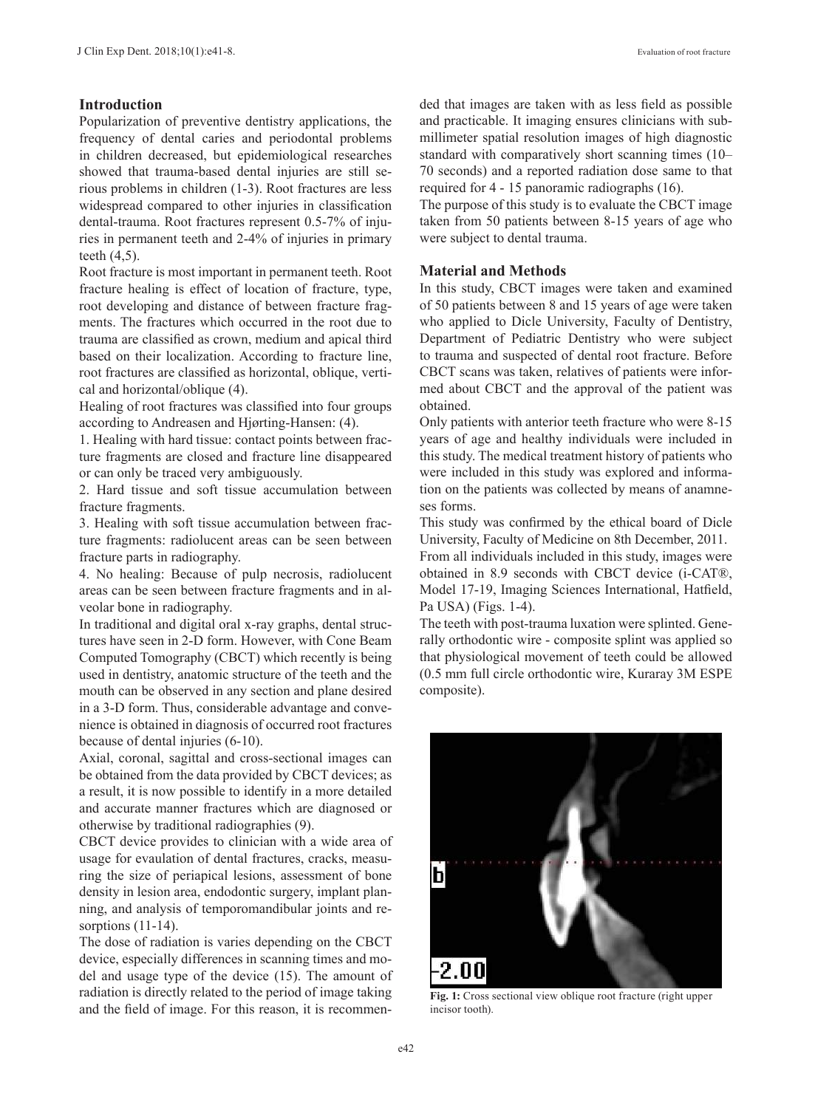# **Introduction**

Popularization of preventive dentistry applications, the frequency of dental caries and periodontal problems in children decreased, but epidemiological researches showed that trauma-based dental injuries are still serious problems in children (1-3). Root fractures are less widespread compared to other injuries in classification dental-trauma. Root fractures represent 0.5-7% of injuries in permanent teeth and 2-4% of injuries in primary teeth (4,5).

Root fracture is most important in permanent teeth. Root fracture healing is effect of location of fracture, type, root developing and distance of between fracture fragments. The fractures which occurred in the root due to trauma are classified as crown, medium and apical third based on their localization. According to fracture line, root fractures are classified as horizontal, oblique, vertical and horizontal/oblique (4).

Healing of root fractures was classified into four groups according to Andreasen and Hjørting-Hansen: (4).

1. Healing with hard tissue: contact points between fracture fragments are closed and fracture line disappeared or can only be traced very ambiguously.

2. Hard tissue and soft tissue accumulation between fracture fragments.

3. Healing with soft tissue accumulation between fracture fragments: radiolucent areas can be seen between fracture parts in radiography.

4. No healing: Because of pulp necrosis, radiolucent areas can be seen between fracture fragments and in alveolar bone in radiography.

In traditional and digital oral x-ray graphs, dental structures have seen in 2-D form. However, with Cone Beam Computed Tomography (CBCT) which recently is being used in dentistry, anatomic structure of the teeth and the mouth can be observed in any section and plane desired in a 3-D form. Thus, considerable advantage and convenience is obtained in diagnosis of occurred root fractures because of dental injuries (6-10).

Axial, coronal, sagittal and cross-sectional images can be obtained from the data provided by CBCT devices; as a result, it is now possible to identify in a more detailed and accurate manner fractures which are diagnosed or otherwise by traditional radiographies (9).

CBCT device provides to clinician with a wide area of usage for evaulation of dental fractures, cracks, measuring the size of periapical lesions, assessment of bone density in lesion area, endodontic surgery, implant planning, and analysis of temporomandibular joints and resorptions (11-14).

The dose of radiation is varies depending on the CBCT device, especially differences in scanning times and model and usage type of the device (15). The amount of radiation is directly related to the period of image taking and the field of image. For this reason, it is recommended that images are taken with as less field as possible and practicable. It imaging ensures clinicians with submillimeter spatial resolution images of high diagnostic standard with comparatively short scanning times (10– 70 seconds) and a reported radiation dose same to that required for 4 - 15 panoramic radiographs (16).

The purpose of this study is to evaluate the CBCT image taken from 50 patients between 8-15 years of age who were subject to dental trauma.

#### **Material and Methods**

In this study, CBCT images were taken and examined of 50 patients between 8 and 15 years of age were taken who applied to Dicle University, Faculty of Dentistry, Department of Pediatric Dentistry who were subject to trauma and suspected of dental root fracture. Before CBCT scans was taken, relatives of patients were informed about CBCT and the approval of the patient was obtained.

Only patients with anterior teeth fracture who were 8-15 years of age and healthy individuals were included in this study. The medical treatment history of patients who were included in this study was explored and information on the patients was collected by means of anamneses forms.

This study was confirmed by the ethical board of Dicle University, Faculty of Medicine on 8th December, 2011.

From all individuals included in this study, images were obtained in 8.9 seconds with CBCT device (i-CAT®, Model 17-19, Imaging Sciences International, Hatfield, Pa USA) (Figs. 1-4).

The teeth with post-trauma luxation were splinted. Generally orthodontic wire - composite splint was applied so that physiological movement of teeth could be allowed (0.5 mm full circle orthodontic wire, Kuraray 3M ESPE composite).



**Fig. 1:** Cross sectional view oblique root fracture (right upper incisor tooth).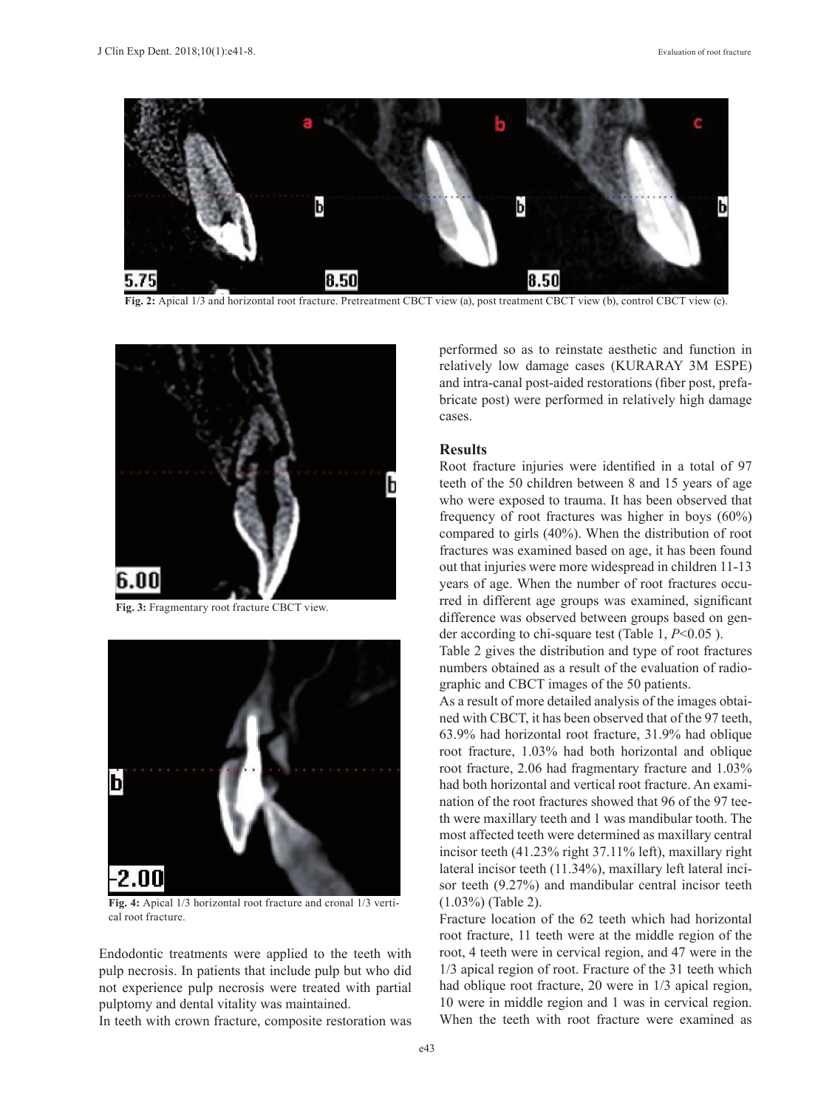

**Fig. 2:** Apical 1/3 and horizontal root fracture. Pretreatment CBCT view (a), post treatment CBCT view (b), control CBCT view (c).



**Fig. 3:** Fragmentary root fracture CBCT view.



**Fig. 4:** Apical 1/3 horizontal root fracture and cronal 1/3 vertical root fracture.

Endodontic treatments were applied to the teeth with pulp necrosis. In patients that include pulp but who did not experience pulp necrosis were treated with partial pulptomy and dental vitality was maintained.

In teeth with crown fracture, composite restoration was

performed so as to reinstate aesthetic and function in relatively low damage cases (KURARAY 3M ESPE) and intra-canal post-aided restorations (fiber post, prefabricate post) were performed in relatively high damage cases.

#### **Results**

Root fracture injuries were identified in a total of 97 teeth of the 50 children between 8 and 15 years of age who were exposed to trauma. It has been observed that frequency of root fractures was higher in boys (60%) compared to girls (40%). When the distribution of root fractures was examined based on age, it has been found out that injuries were more widespread in children 11-13 years of age. When the number of root fractures occurred in different age groups was examined, significant difference was observed between groups based on gender according to chi-square test (Table 1, *P*<0.05 ).

Table 2 gives the distribution and type of root fractures numbers obtained as a result of the evaluation of radiographic and CBCT images of the 50 patients.

As a result of more detailed analysis of the images obtained with CBCT, it has been observed that of the 97 teeth, 63.9% had horizontal root fracture, 31.9% had oblique root fracture, 1.03% had both horizontal and oblique root fracture, 2.06 had fragmentary fracture and 1.03% had both horizontal and vertical root fracture. An examination of the root fractures showed that 96 of the 97 teeth were maxillary teeth and 1 was mandibular tooth. The most affected teeth were determined as maxillary central incisor teeth (41.23% right 37.11% left), maxillary right lateral incisor teeth (11.34%), maxillary left lateral incisor teeth (9.27%) and mandibular central incisor teeth (1.03%) (Table 2).

Fracture location of the 62 teeth which had horizontal root fracture, 11 teeth were at the middle region of the root, 4 teeth were in cervical region, and 47 were in the 1/3 apical region of root. Fracture of the 31 teeth which had oblique root fracture, 20 were in 1/3 apical region, 10 were in middle region and 1 was in cervical region. When the teeth with root fracture were examined as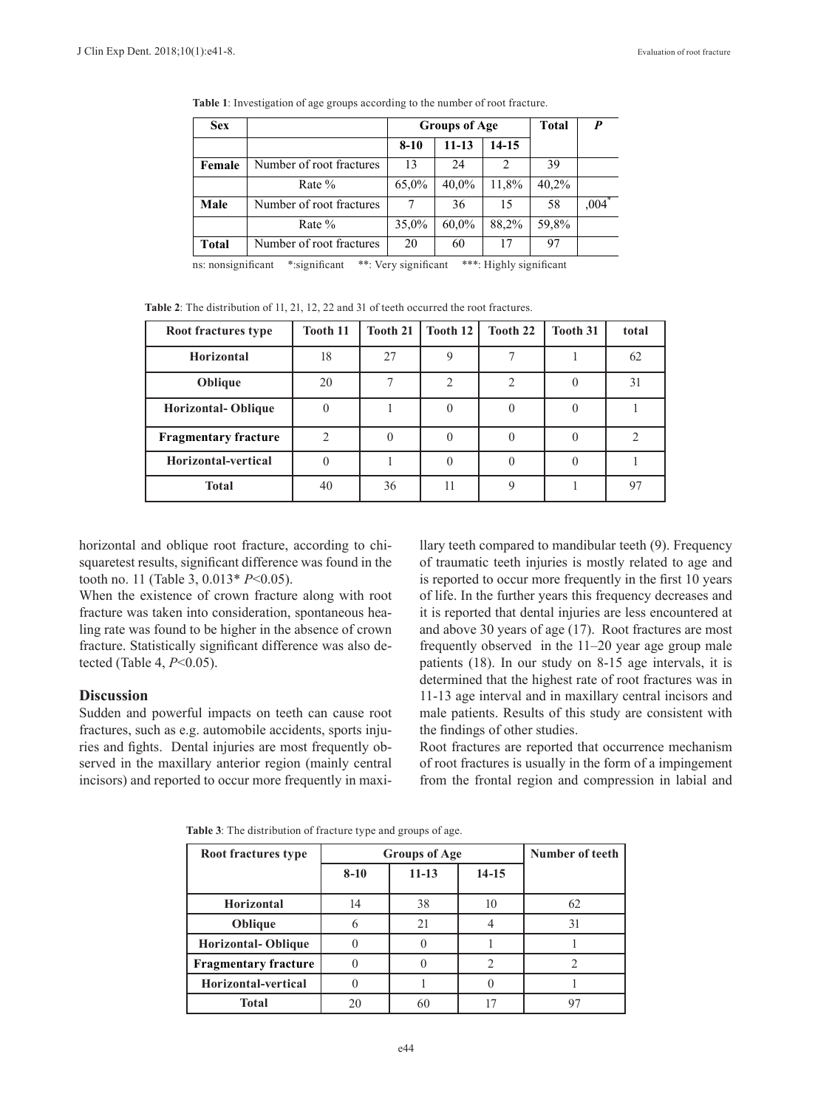| <b>Sex</b>                                                                             |                          | <b>Groups of Age</b> |          |                | <b>Total</b> | P                   |
|----------------------------------------------------------------------------------------|--------------------------|----------------------|----------|----------------|--------------|---------------------|
|                                                                                        |                          | $8 - 10$             | 11-13    | 14-15          |              |                     |
| Female                                                                                 | Number of root fractures | 13                   | 24       | $\mathfrak{D}$ | 39           |                     |
|                                                                                        | Rate %                   | 65,0%                | 40,0%    | 11,8%          | 40,2%        |                     |
| Male                                                                                   | Number of root fractures | 7                    | 36       | 15             | 58           | $,004$ <sup>*</sup> |
|                                                                                        | Rate %                   | 35,0%                | $60.0\%$ | 88,2%          | 59,8%        |                     |
| <b>Total</b>                                                                           | Number of root fractures | 20                   | 60       | 17             | 97           |                     |
| ***: Highly significant<br>*:significant<br>**: Very significant<br>ns: nonsignificant |                          |                      |          |                |              |                     |

**Table 1**: Investigation of age groups according to the number of root fracture.

| <b>Table 2</b> : The distribution of $11, 21, 12, 22$ and 31 of teeth occurred the root fractures. |                 |          |          |          |                 |       |
|----------------------------------------------------------------------------------------------------|-----------------|----------|----------|----------|-----------------|-------|
| Root fractures type                                                                                | <b>Tooth 11</b> | Tooth 21 | Tooth 12 | Tooth 22 | <b>Tooth 31</b> | total |
| <b>Horizontal</b>                                                                                  | 18              | 27       |          |          |                 | 62    |
| Oblique                                                                                            | 20              |          |          |          |                 | 31    |
| <b>Horizontal-Oblique</b>                                                                          |                 |          |          |          |                 |       |
| <b>Fragmentary fracture</b>                                                                        |                 |          |          |          |                 |       |
| Horizontal-vertical                                                                                |                 |          |          |          |                 |       |

**Total** 40 36 11 9 1 9

**Table 2**: The distribution of 11, 21, 12, 22 and 31 of teeth occurred the root fractures.

horizontal and oblique root fracture, according to chisquaretest results, significant difference was found in the tooth no. 11 (Table 3, 0.013\* *P*<0.05).

When the existence of crown fracture along with root fracture was taken into consideration, spontaneous healing rate was found to be higher in the absence of crown fracture. Statistically significant difference was also detected (Table 4, *P*<0.05).

#### **Discussion**

Sudden and powerful impacts on teeth can cause root fractures, such as e.g. automobile accidents, sports injuries and fights. Dental injuries are most frequently observed in the maxillary anterior region (mainly central incisors) and reported to occur more frequently in maxillary teeth compared to mandibular teeth (9). Frequency of traumatic teeth injuries is mostly related to age and is reported to occur more frequently in the first 10 years of life. In the further years this frequency decreases and it is reported that dental injuries are less encountered at and above 30 years of age (17). Root fractures are most frequently observed in the 11–20 year age group male patients (18). In our study on 8-15 age intervals, it is determined that the highest rate of root fractures was in 11-13 age interval and in maxillary central incisors and male patients. Results of this study are consistent with the findings of other studies.

Root fractures are reported that occurrence mechanism of root fractures is usually in the form of a impingement from the frontal region and compression in labial and

| <b>Table 3</b> : The distribution of fracture type and groups of age. |  |  |
|-----------------------------------------------------------------------|--|--|
|-----------------------------------------------------------------------|--|--|

| Root fractures type         | <b>Groups of Age</b> | Number of teeth |         |    |
|-----------------------------|----------------------|-----------------|---------|----|
|                             | $8-10$               | $11 - 13$       | $14-15$ |    |
| <b>Horizontal</b>           | 14                   | 38              | 10      | 62 |
| Oblique                     |                      | 21              |         | 31 |
| <b>Horizontal-Oblique</b>   |                      |                 |         |    |
| <b>Fragmentary fracture</b> |                      |                 |         |    |
| Horizontal-vertical         |                      |                 |         |    |
| Total                       | 20                   | 60              |         | Q٢ |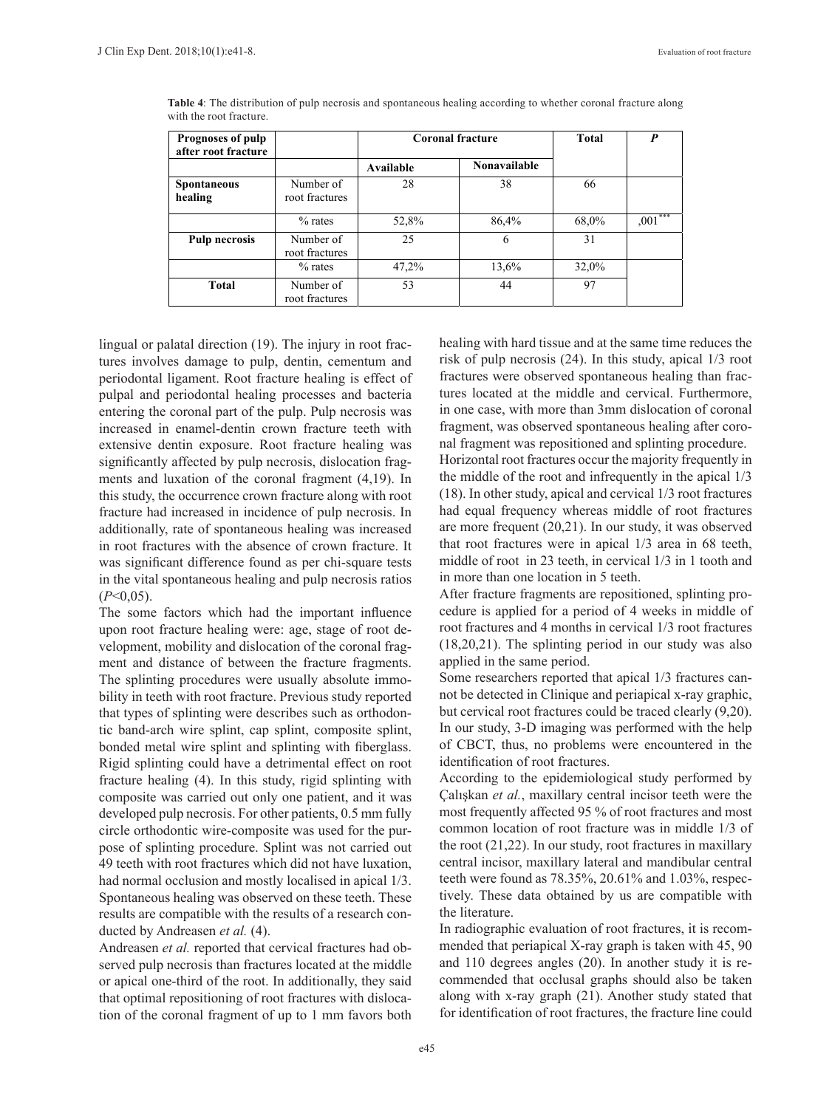| <b>Prognoses of pulp</b><br>after root fracture |                             |           | <b>Coronal fracture</b> | Total | $\boldsymbol{P}$ |
|-------------------------------------------------|-----------------------------|-----------|-------------------------|-------|------------------|
|                                                 |                             | Available | <b>Nonavailable</b>     |       |                  |
| <b>Spontaneous</b><br>healing                   | Number of<br>root fractures | 28        | 38                      | 66    |                  |
|                                                 | $%$ rates                   | 52,8%     | 86,4%                   | 68,0% | $,001***$        |
| <b>Pulp necrosis</b>                            | Number of<br>root fractures | 25        | 6                       | 31    |                  |
|                                                 | $%$ rates                   | 47,2%     | 13,6%                   | 32,0% |                  |
| <b>Total</b>                                    | Number of<br>root fractures | 53        | 44                      | 97    |                  |

**Table 4**: The distribution of pulp necrosis and spontaneous healing according to whether coronal fracture along with the root fracture.

lingual or palatal direction (19). The injury in root fractures involves damage to pulp, dentin, cementum and periodontal ligament. Root fracture healing is effect of pulpal and periodontal healing processes and bacteria entering the coronal part of the pulp. Pulp necrosis was increased in enamel-dentin crown fracture teeth with extensive dentin exposure. Root fracture healing was significantly affected by pulp necrosis, dislocation fragments and luxation of the coronal fragment (4,19). In this study, the occurrence crown fracture along with root fracture had increased in incidence of pulp necrosis. In additionally, rate of spontaneous healing was increased in root fractures with the absence of crown fracture. It was significant difference found as per chi-square tests in the vital spontaneous healing and pulp necrosis ratios (*P*<0,05).

The some factors which had the important influence upon root fracture healing were: age, stage of root development, mobility and dislocation of the coronal fragment and distance of between the fracture fragments. The splinting procedures were usually absolute immobility in teeth with root fracture. Previous study reported that types of splinting were describes such as orthodontic band-arch wire splint, cap splint, composite splint, bonded metal wire splint and splinting with fiberglass. Rigid splinting could have a detrimental effect on root fracture healing (4). In this study, rigid splinting with composite was carried out only one patient, and it was developed pulp necrosis. For other patients, 0.5 mm fully circle orthodontic wire-composite was used for the purpose of splinting procedure. Splint was not carried out 49 teeth with root fractures which did not have luxation, had normal occlusion and mostly localised in apical 1/3. Spontaneous healing was observed on these teeth. These results are compatible with the results of a research conducted by Andreasen *et al.* (4).

Andreasen *et al.* reported that cervical fractures had observed pulp necrosis than fractures located at the middle or apical one-third of the root. In additionally, they said that optimal repositioning of root fractures with dislocation of the coronal fragment of up to 1 mm favors both healing with hard tissue and at the same time reduces the risk of pulp necrosis (24). In this study, apical 1/3 root fractures were observed spontaneous healing than fractures located at the middle and cervical. Furthermore, in one case, with more than 3mm dislocation of coronal fragment, was observed spontaneous healing after coronal fragment was repositioned and splinting procedure.

Horizontal root fractures occur the majority frequently in the middle of the root and infrequently in the apical 1/3 (18). In other study, apical and cervical 1/3 root fractures had equal frequency whereas middle of root fractures are more frequent (20,21). In our study, it was observed that root fractures were in apical 1/3 area in 68 teeth, middle of root in 23 teeth, in cervical 1/3 in 1 tooth and in more than one location in 5 teeth.

After fracture fragments are repositioned, splinting procedure is applied for a period of 4 weeks in middle of root fractures and 4 months in cervical 1/3 root fractures (18,20,21). The splinting period in our study was also applied in the same period.

Some researchers reported that apical 1/3 fractures cannot be detected in Clinique and periapical x-ray graphic, but cervical root fractures could be traced clearly (9,20). In our study, 3-D imaging was performed with the help of CBCT, thus, no problems were encountered in the identification of root fractures.

According to the epidemiological study performed by Çalışkan *et al.*, maxillary central incisor teeth were the most frequently affected 95 % of root fractures and most common location of root fracture was in middle 1/3 of the root (21,22). In our study, root fractures in maxillary central incisor, maxillary lateral and mandibular central teeth were found as 78.35%, 20.61% and 1.03%, respectively. These data obtained by us are compatible with the literature.

In radiographic evaluation of root fractures, it is recommended that periapical X-ray graph is taken with 45, 90 and 110 degrees angles (20). In another study it is recommended that occlusal graphs should also be taken along with x-ray graph (21). Another study stated that for identification of root fractures, the fracture line could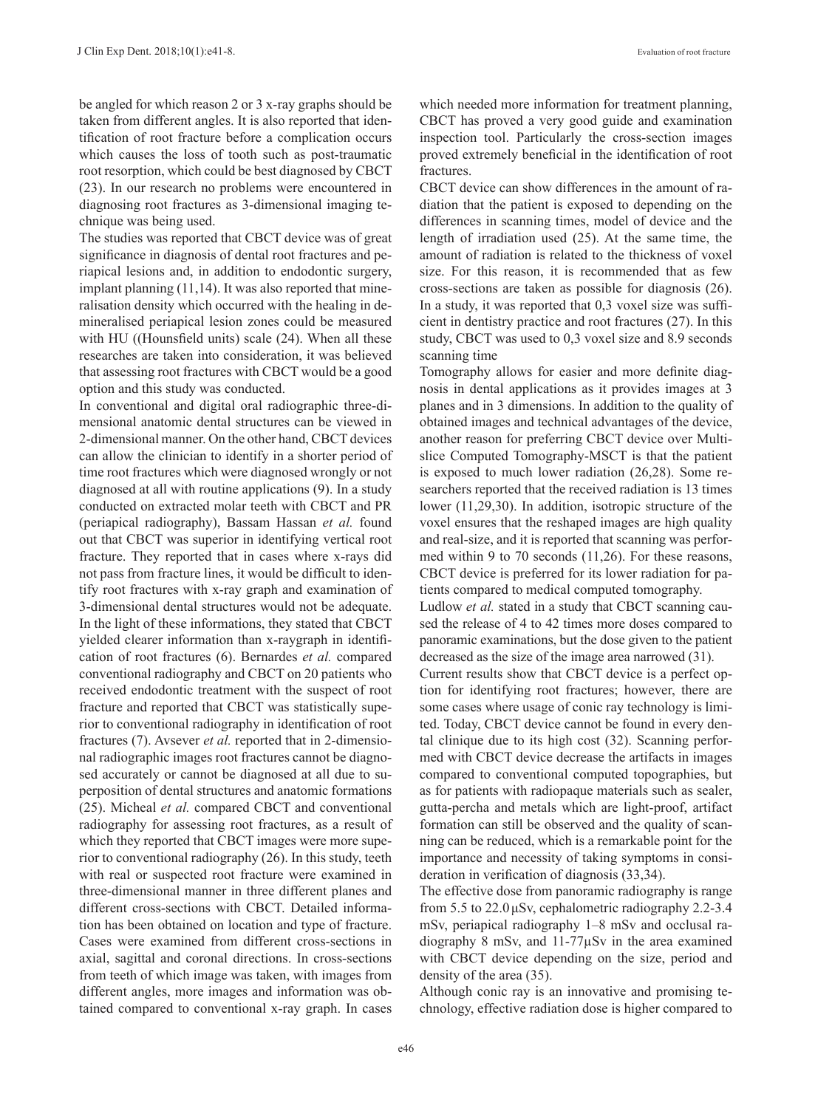be angled for which reason 2 or 3 x-ray graphs should be taken from different angles. It is also reported that identification of root fracture before a complication occurs which causes the loss of tooth such as post-traumatic root resorption, which could be best diagnosed by CBCT (23). In our research no problems were encountered in diagnosing root fractures as 3-dimensional imaging technique was being used.

The studies was reported that CBCT device was of great significance in diagnosis of dental root fractures and periapical lesions and, in addition to endodontic surgery, implant planning (11,14). It was also reported that mineralisation density which occurred with the healing in demineralised periapical lesion zones could be measured with HU ((Hounsfield units) scale (24). When all these researches are taken into consideration, it was believed that assessing root fractures with CBCT would be a good option and this study was conducted.

In conventional and digital oral radiographic three-dimensional anatomic dental structures can be viewed in 2-dimensional manner. On the other hand, CBCT devices can allow the clinician to identify in a shorter period of time root fractures which were diagnosed wrongly or not diagnosed at all with routine applications (9). In a study conducted on extracted molar teeth with CBCT and PR (periapical radiography), Bassam Hassan *et al.* found out that CBCT was superior in identifying vertical root fracture. They reported that in cases where x-rays did not pass from fracture lines, it would be difficult to identify root fractures with x-ray graph and examination of 3-dimensional dental structures would not be adequate. In the light of these informations, they stated that CBCT yielded clearer information than x-raygraph in identification of root fractures (6). Bernardes *et al.* compared conventional radiography and CBCT on 20 patients who received endodontic treatment with the suspect of root fracture and reported that CBCT was statistically superior to conventional radiography in identification of root fractures (7). Avsever *et al.* reported that in 2-dimensional radiographic images root fractures cannot be diagnosed accurately or cannot be diagnosed at all due to superposition of dental structures and anatomic formations (25). Micheal *et al.* compared CBCT and conventional radiography for assessing root fractures, as a result of which they reported that CBCT images were more superior to conventional radiography (26). In this study, teeth with real or suspected root fracture were examined in three-dimensional manner in three different planes and different cross-sections with CBCT. Detailed information has been obtained on location and type of fracture. Cases were examined from different cross-sections in axial, sagittal and coronal directions. In cross-sections from teeth of which image was taken, with images from different angles, more images and information was obtained compared to conventional x-ray graph. In cases which needed more information for treatment planning, CBCT has proved a very good guide and examination inspection tool. Particularly the cross-section images proved extremely beneficial in the identification of root fractures.

CBCT device can show differences in the amount of radiation that the patient is exposed to depending on the differences in scanning times, model of device and the length of irradiation used (25). At the same time, the amount of radiation is related to the thickness of voxel size. For this reason, it is recommended that as few cross-sections are taken as possible for diagnosis (26). In a study, it was reported that 0,3 voxel size was sufficient in dentistry practice and root fractures (27). In this study, CBCT was used to 0,3 voxel size and 8.9 seconds scanning time

Tomography allows for easier and more definite diagnosis in dental applications as it provides images at 3 planes and in 3 dimensions. In addition to the quality of obtained images and technical advantages of the device, another reason for preferring CBCT device over Multislice Computed Tomography-MSCT is that the patient is exposed to much lower radiation (26,28). Some researchers reported that the received radiation is 13 times lower (11,29,30). In addition, isotropic structure of the voxel ensures that the reshaped images are high quality and real-size, and it is reported that scanning was performed within 9 to 70 seconds (11,26). For these reasons, CBCT device is preferred for its lower radiation for patients compared to medical computed tomography.

Ludlow *et al.* stated in a study that CBCT scanning caused the release of 4 to 42 times more doses compared to panoramic examinations, but the dose given to the patient decreased as the size of the image area narrowed (31).

Current results show that CBCT device is a perfect option for identifying root fractures; however, there are some cases where usage of conic ray technology is limited. Today, CBCT device cannot be found in every dental clinique due to its high cost (32). Scanning performed with CBCT device decrease the artifacts in images compared to conventional computed topographies, but as for patients with radiopaque materials such as sealer, gutta-percha and metals which are light-proof, artifact formation can still be observed and the quality of scanning can be reduced, which is a remarkable point for the importance and necessity of taking symptoms in consideration in verification of diagnosis (33,34).

The effective dose from panoramic radiography is range from 5.5 to 22.0μSv, cephalometric radiography 2.2-3.4 mSv, periapical radiography 1–8 mSv and occlusal radiography 8 mSv, and 11-77µSv in the area examined with CBCT device depending on the size, period and density of the area (35).

Although conic ray is an innovative and promising technology, effective radiation dose is higher compared to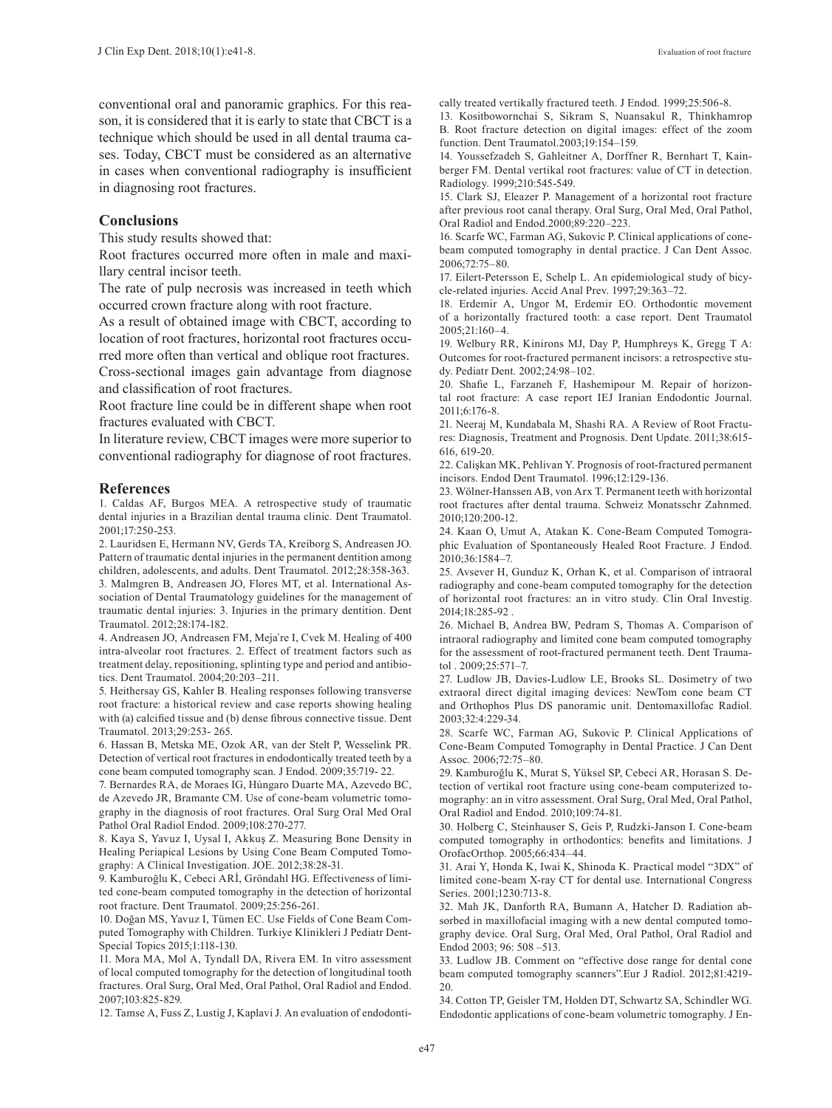conventional oral and panoramic graphics. For this reason, it is considered that it is early to state that CBCT is a technique which should be used in all dental trauma cases. Today, CBCT must be considered as an alternative in cases when conventional radiography is insufficient in diagnosing root fractures.

#### **Conclusions**

This study results showed that:

Root fractures occurred more often in male and maxillary central incisor teeth.

The rate of pulp necrosis was increased in teeth which occurred crown fracture along with root fracture.

As a result of obtained image with CBCT, according to location of root fractures, horizontal root fractures occurred more often than vertical and oblique root fractures.

Cross-sectional images gain advantage from diagnose and classification of root fractures.

Root fracture line could be in different shape when root fractures evaluated with CBCT.

In literature review, CBCT images were more superior to conventional radiography for diagnose of root fractures.

#### **References**

1. Caldas AF, Burgos MEA. A retrospective study of traumatic dental injuries in a Brazilian dental trauma clinic. Dent Traumatol. 2001;17:250-253.

2. Lauridsen E, Hermann NV, Gerds TA, Kreiborg S, Andreasen JO. Pattern of traumatic dental injuries in the permanent dentition among children, adolescents, and adults. Dent Traumatol. 2012;28:358-363.

3. Malmgren B, Andreasen JO, Flores MT, et al. International Association of Dental Traumatology guidelines for the management of traumatic dental injuries: 3. Injuries in the primary dentition. Dent Traumatol. 2012;28:174-182.

4. Andreasen JO, Andreasen FM, Meja`re I, Cvek M. Healing of 400 intra-alveolar root fractures. 2. Effect of treatment factors such as treatment delay, repositioning, splinting type and period and antibiotics. Dent Traumatol. 2004;20:203–211.

5. Heithersay GS, Kahler B. Healing responses following transverse root fracture: a historical review and case reports showing healing with (a) calcified tissue and (b) dense fibrous connective tissue. Dent Traumatol. 2013;29:253- 265.

6. Hassan B, Metska ME, Ozok AR, van der Stelt P, Wesselink PR. Detection of vertical root fractures in endodontically treated teeth by a cone beam computed tomography scan. J Endod. 2009;35:719- 22.

7. Bernardes RA, de Moraes IG, Húngaro Duarte MA, Azevedo BC, de Azevedo JR, Bramante CM. Use of cone-beam volumetric tomography in the diagnosis of root fractures. Oral Surg Oral Med Oral Pathol Oral Radiol Endod. 2009;108:270-277.

8. Kaya S, Yavuz I, Uysal I, Akkuş Z. Measuring Bone Density in Healing Periapical Lesions by Using Cone Beam Computed Tomography: A Clinical Investigation. JOE. 2012;38:28-31.

9. Kamburoğlu K, Cebeci ARİ, Gröndahl HG. Effectiveness of limited cone-beam computed tomography in the detection of horizontal root fracture. Dent Traumatol. 2009;25:256-261.

10. Doğan MS, Yavuz I, Tümen EC. Use Fields of Cone Beam Computed Tomography with Children. Turkiye Klinikleri J Pediatr Dent-Special Topics 2015;1:118-130.

11. Mora MA, Mol A, Tyndall DA, Rivera EM. In vitro assessment of local computed tomography for the detection of longitudinal tooth fractures. Oral Surg, Oral Med, Oral Pathol, Oral Radiol and Endod. 2007;103:825-829.

12. Tamse A, Fuss Z, Lustig J, Kaplavi J. An evaluation of endodonti-

cally treated vertikally fractured teeth. J Endod. 1999;25:506-8.

13. Kositbowornchai S, Sikram S, Nuansakul R, Thinkhamrop B. Root fracture detection on digital images: effect of the zoom function. Dent Traumatol.2003;19:154–159.

14. Youssefzadeh S, Gahleitner A, Dorffner R, Bernhart T, Kainberger FM. Dental vertikal root fractures: value of CT in detection. Radiology. 1999;210:545-549.

15. Clark SJ, Eleazer P. Management of a horizontal root fracture after previous root canal therapy. Oral Surg, Oral Med, Oral Pathol, Oral Radiol and Endod.2000;89:220–223.

16. Scarfe WC, Farman AG, Sukovic P. Clinical applications of conebeam computed tomography in dental practice. J Can Dent Assoc. 2006;72:75–80.

17. Eilert-Petersson E, Schelp L. An epidemiological study of bicycle-related injuries. Accid Anal Prev. 1997;29:363–72.

18. Erdemir A, Ungor M, Erdemir EO. Orthodontic movement of a horizontally fractured tooth: a case report. Dent Traumatol 2005;21:160–4.

19. Welbury RR, Kinirons MJ, Day P, Humphreys K, Gregg T A: Outcomes for root-fractured permanent incisors: a retrospective study. Pediatr Dent. 2002;24:98–102.

20. Shafie L, Farzaneh F, Hashemipour M. Repair of horizontal root fracture: A case report IEJ Iranian Endodontic Journal. 2011;6:176-8.

21. Neeraj M, Kundabala M, Shashi RA. A Review of Root Fractures: Diagnosis, Treatment and Prognosis. Dent Update. 2011;38:615- 616, 619-20.

22. Calişkan MK, Pehlivan Y. Prognosis of root-fractured permanent incisors. Endod Dent Traumatol. 1996;12:129-136.

23. Wölner-Hanssen AB, von Arx T. Permanent teeth with horizontal root fractures after dental trauma. Schweiz Monatsschr Zahnmed. 2010;120:200-12.

24. Kaan O, Umut A, Atakan K. Cone-Beam Computed Tomographic Evaluation of Spontaneously Healed Root Fracture. J Endod. 2010;36:1584–7.

25. Avsever H, Gunduz K, Orhan K, et al. Comparison of intraoral radiography and cone-beam computed tomography for the detection of horizontal root fractures: an in vitro study. Clin Oral Investig. 2014;18:285-92 .

26. Michael B, Andrea BW, Pedram S, Thomas A. Comparison of intraoral radiography and limited cone beam computed tomography for the assessment of root-fractured permanent teeth. Dent Traumatol  $2009.25:571-7$ 

27. Ludlow JB, Davies-Ludlow LE, Brooks SL. Dosimetry of two extraoral direct digital imaging devices: NewTom cone beam CT and Orthophos Plus DS panoramic unit. Dentomaxillofac Radiol. 2003;32:4:229-34.

28. Scarfe WC, Farman AG, Sukovic P. Clinical Applications of Cone-Beam Computed Tomography in Dental Practice. J Can Dent Assoc. 2006;72:75–80.

29. Kamburoğlu K, Murat S, Yüksel SP, Cebeci AR, Horasan S. Detection of vertikal root fracture using cone-beam computerized tomography: an in vitro assessment. Oral Surg, Oral Med, Oral Pathol, Oral Radiol and Endod. 2010;109:74-81.

30. Holberg C, Steinhauser S, Geis P, Rudzki-Janson I. Cone-beam computed tomography in orthodontics: benefits and limitations. J OrofacOrthop. 2005;66:434–44.

31. Arai Y, Honda K, Iwai K, Shinoda K. Practical model "3DX" of limited cone-beam X-ray CT for dental use. International Congress Series. 2001;1230:713-8.

32. Mah JK, Danforth RA, Bumann A, Hatcher D. Radiation absorbed in maxillofacial imaging with a new dental computed tomography device. Oral Surg, Oral Med, Oral Pathol, Oral Radiol and Endod 2003; 96: 508 –513.

33. Ludlow JB. Comment on "effective dose range for dental cone beam computed tomography scanners".Eur J Radiol. 2012;81:4219- 20.

34. Cotton TP, Geisler TM, Holden DT, Schwartz SA, Schindler WG. Endodontic applications of cone-beam volumetric tomography. J En-